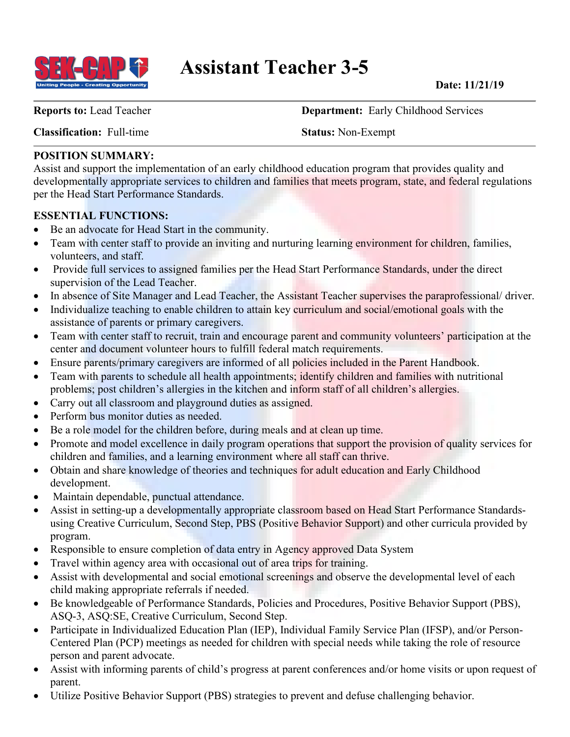

**Report of Creating Opportunity** Assistant Teacher 3-5 Date: 11/21/19

**Classification:** Full-time **Status:** Non-Exempt

**Reports to:** Lead Teacher **Department:** Early Childhood Services

# **POSITION SUMMARY:**

Assist and support the implementation of an early childhood education program that provides quality and developmentally appropriate services to children and families that meets program, state, and federal regulations per the Head Start Performance Standards.

# **ESSENTIAL FUNCTIONS:**

- Be an advocate for Head Start in the community.
- Team with center staff to provide an inviting and nurturing learning environment for children, families, volunteers, and staff.
- Provide full services to assigned families per the Head Start Performance Standards, under the direct supervision of the Lead Teacher.
- In absence of Site Manager and Lead Teacher, the Assistant Teacher supervises the paraprofessional/ driver.
- Individualize teaching to enable children to attain key curriculum and social/emotional goals with the assistance of parents or primary caregivers.
- Team with center staff to recruit, train and encourage parent and community volunteers' participation at the center and document volunteer hours to fulfill federal match requirements.
- Ensure parents/primary caregivers are informed of all policies included in the Parent Handbook.
- Team with parents to schedule all health appointments; identify children and families with nutritional problems; post children's allergies in the kitchen and inform staff of all children's allergies.
- Carry out all classroom and playground duties as assigned.
- Perform bus monitor duties as needed.
- Be a role model for the children before, during meals and at clean up time.
- Promote and model excellence in daily program operations that support the provision of quality services for children and families, and a learning environment where all staff can thrive.
- Obtain and share knowledge of theories and techniques for adult education and Early Childhood development.
- Maintain dependable, punctual attendance.
- Assist in setting-up a developmentally appropriate classroom based on Head Start Performance Standardsusing Creative Curriculum, Second Step, PBS (Positive Behavior Support) and other curricula provided by program.
- Responsible to ensure completion of data entry in Agency approved Data System
- Travel within agency area with occasional out of area trips for training.
- Assist with developmental and social emotional screenings and observe the developmental level of each child making appropriate referrals if needed.
- Be knowledgeable of Performance Standards, Policies and Procedures, Positive Behavior Support (PBS), ASQ-3, ASQ:SE, Creative Curriculum, Second Step.
- Participate in Individualized Education Plan (IEP), Individual Family Service Plan (IFSP), and/or Person-Centered Plan (PCP) meetings as needed for children with special needs while taking the role of resource person and parent advocate.
- Assist with informing parents of child's progress at parent conferences and/or home visits or upon request of parent.
- Utilize Positive Behavior Support (PBS) strategies to prevent and defuse challenging behavior.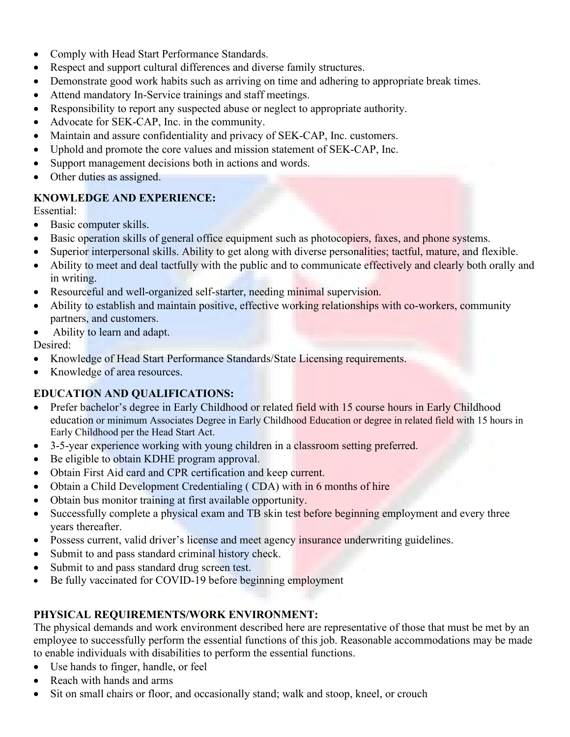- Comply with Head Start Performance Standards.
- Respect and support cultural differences and diverse family structures.
- Demonstrate good work habits such as arriving on time and adhering to appropriate break times.
- Attend mandatory In-Service trainings and staff meetings.
- Responsibility to report any suspected abuse or neglect to appropriate authority.
- Advocate for SEK-CAP, Inc. in the community.
- Maintain and assure confidentiality and privacy of SEK-CAP, Inc. customers.
- Uphold and promote the core values and mission statement of SEK-CAP, Inc.
- Support management decisions both in actions and words.
- Other duties as assigned.

### **KNOWLEDGE AND EXPERIENCE:**

Essential:

- Basic computer skills.
- Basic operation skills of general office equipment such as photocopiers, faxes, and phone systems.
- Superior interpersonal skills. Ability to get along with diverse personalities; tactful, mature, and flexible.
- Ability to meet and deal tactfully with the public and to communicate effectively and clearly both orally and in writing.
- Resourceful and well-organized self-starter, needing minimal supervision.
- Ability to establish and maintain positive, effective working relationships with co-workers, community partners, and customers.
- Ability to learn and adapt.

Desired:

- Knowledge of Head Start Performance Standards/State Licensing requirements.
- Knowledge of area resources.

### **EDUCATION AND QUALIFICATIONS:**

- Prefer bachelor's degree in Early Childhood or related field with 15 course hours in Early Childhood education or minimum Associates Degree in Early Childhood Education or degree in related field with 15 hours in Early Childhood per the Head Start Act.
- 3-5-year experience working with young children in a classroom setting preferred.
- Be eligible to obtain KDHE program approval.
- Obtain First Aid card and CPR certification and keep current.
- Obtain a Child Development Credentialing (CDA) with in 6 months of hire
- Obtain bus monitor training at first available opportunity.
- Successfully complete a physical exam and TB skin test before beginning employment and every three years thereafter.
- Possess current, valid driver's license and meet agency insurance underwriting guidelines.
- Submit to and pass standard criminal history check.
- Submit to and pass standard drug screen test.
- Be fully vaccinated for COVID-19 before beginning employment

### **PHYSICAL REQUIREMENTS/WORK ENVIRONMENT:**

The physical demands and work environment described here are representative of those that must be met by an employee to successfully perform the essential functions of this job. Reasonable accommodations may be made to enable individuals with disabilities to perform the essential functions.

- Use hands to finger, handle, or feel
- Reach with hands and arms
- Sit on small chairs or floor, and occasionally stand; walk and stoop, kneel, or crouch